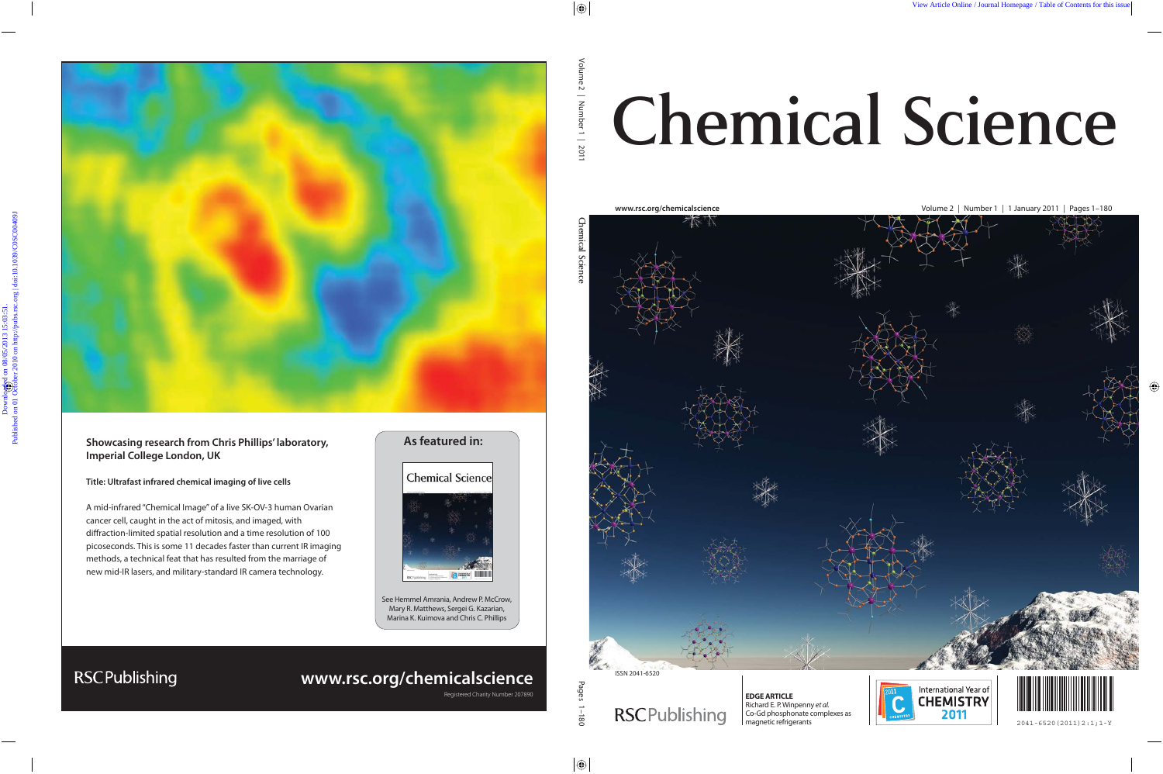

### **Showcasing research from Chris Phillips' laboratory, Imperial College London, UK**

#### **Title: Ultrafast infrared chemical imaging of live cells**

**RSCPublishing** 

A mid-infrared "Chemical Image" of a live SK-OV-3 human Ovarian cancer cell, caught in the act of mitosis, and imaged, with diffraction-limited spatial resolution and a time resolution of 100 picoseconds. This is some 11 decades faster than current IR imaging methods, a technical feat that has resulted from the marriage of new mid-IR lasers, and military-standard IR camera technology.

### **As featured in:**



See Hemmel Amrania, Andrew P. McCrow, Mary R. Matthews, Sergei G. Kazarian, Marina K. Kuimova and Chris C. Phillips

## **www.rsc.org/chemicalscience**

Registered Charity Number 207890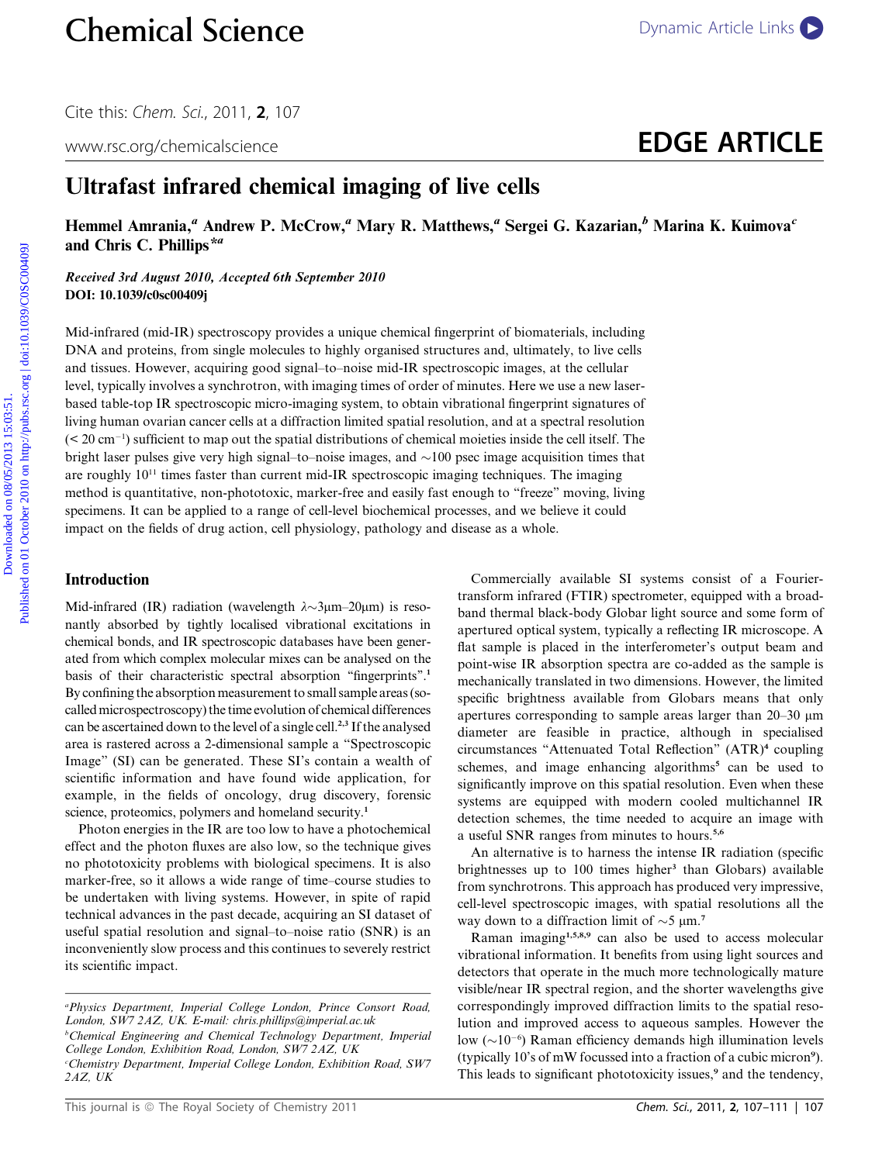# www.rsc.org/chemicalscience **EDGE ARTICLE**

## Ultrafast infrared chemical imaging of live cells

Hemmel Amrania,<sup>a</sup> Andrew P. McCrow,<sup>a</sup> Mary R. Matthews,<sup>a</sup> Sergei G. Kazarian,<sup>b</sup> Marina K. Kuimova<sup>c</sup> and Chris C. Phillips<sup>\*a</sup>

Received 3rd August 2010, Accepted 6th September 2010 DOI: 10.1039/c0sc00409j

Mid-infrared (mid-IR) spectroscopy provides a unique chemical fingerprint of biomaterials, including DNA and proteins, from single molecules to highly organised structures and, ultimately, to live cells and tissues. However, acquiring good signal–to–noise mid-IR spectroscopic images, at the cellular level, typically involves a synchrotron, with imaging times of order of minutes. Here we use a new laserbased table-top IR spectroscopic micro-imaging system, to obtain vibrational fingerprint signatures of living human ovarian cancer cells at a diffraction limited spatial resolution, and at a spectral resolution (< 20 cm-1 ) sufficient to map out the spatial distributions of chemical moieties inside the cell itself. The bright laser pulses give very high signal–to–noise images, and  $\sim$ 100 psec image acquisition times that are roughly  $10^{11}$  times faster than current mid-IR spectroscopic imaging techniques. The imaging method is quantitative, non-phototoxic, marker-free and easily fast enough to ''freeze'' moving, living specimens. It can be applied to a range of cell-level biochemical processes, and we believe it could impact on the fields of drug action, cell physiology, pathology and disease as a whole. **Chemical Science**<br>
Cite this: Chern, Sci, 2011, **2**, 107<br>
www.sc.org/chemicalscience<br> **Ultrafast infrared chemical imaging of live cells**<br> **EDGE ARTICLE**<br>
Ultrafast infrared chemical imaging of live cells<br>
Hemmel Amrania

#### Introduction

Mid-infrared (IR) radiation (wavelength  $\lambda \sim 3 \mu m - 20 \mu m$ ) is resonantly absorbed by tightly localised vibrational excitations in chemical bonds, and IR spectroscopic databases have been generated from which complex molecular mixes can be analysed on the basis of their characteristic spectral absorption "fingerprints".<sup>1</sup> By confining the absorption measurement to small sample areas (socalled microspectroscopy) the time evolution of chemical differences can be ascertained down to the level of a single cell.<sup>2,3</sup> If the analysed area is rastered across a 2-dimensional sample a ''Spectroscopic Image'' (SI) can be generated. These SI's contain a wealth of scientific information and have found wide application, for example, in the fields of oncology, drug discovery, forensic science, proteomics, polymers and homeland security.<sup>1</sup>

Photon energies in the IR are too low to have a photochemical effect and the photon fluxes are also low, so the technique gives no phototoxicity problems with biological specimens. It is also marker-free, so it allows a wide range of time–course studies to be undertaken with living systems. However, in spite of rapid technical advances in the past decade, acquiring an SI dataset of useful spatial resolution and signal–to–noise ratio (SNR) is an inconveniently slow process and this continues to severely restrict its scientific impact.

a Physics Department, Imperial College London, Prince Consort Road, London, SW7 2AZ, UK. E-mail: chris.phillips@imperial.ac.uk

<sup>b</sup>Chemical Engineering and Chemical Technology Department, Imperial College London, Exhibition Road, London, SW7 2AZ, UK c Chemistry Department, Imperial College London, Exhibition Road, SW7 2AZ, UK

Commercially available SI systems consist of a Fouriertransform infrared (FTIR) spectrometer, equipped with a broadband thermal black-body Globar light source and some form of apertured optical system, typically a reflecting IR microscope. A flat sample is placed in the interferometer's output beam and point-wise IR absorption spectra are co-added as the sample is mechanically translated in two dimensions. However, the limited specific brightness available from Globars means that only apertures corresponding to sample areas larger than 20–30 mm diameter are feasible in practice, although in specialised circumstances ''Attenuated Total Reflection'' (ATR)<sup>4</sup> coupling schemes, and image enhancing algorithms<sup>5</sup> can be used to significantly improve on this spatial resolution. Even when these systems are equipped with modern cooled multichannel IR detection schemes, the time needed to acquire an image with a useful SNR ranges from minutes to hours.5,6

An alternative is to harness the intense IR radiation (specific brightnesses up to 100 times higher<sup>3</sup> than Globars) available from synchrotrons. This approach has produced very impressive, cell-level spectroscopic images, with spatial resolutions all the way down to a diffraction limit of  $\sim$ 5  $\mu$ m.<sup>7</sup>

Raman imaging<sup>1,5,8,9</sup> can also be used to access molecular vibrational information. It benefits from using light sources and detectors that operate in the much more technologically mature visible/near IR spectral region, and the shorter wavelengths give correspondingly improved diffraction limits to the spatial resolution and improved access to aqueous samples. However the low  $({\sim}10^{-6})$  Raman efficiency demands high illumination levels (typically 10's of mW focussed into a fraction of a cubic micron<sup>9</sup> ). This leads to significant phototoxicity issues,<sup>9</sup> and the tendency,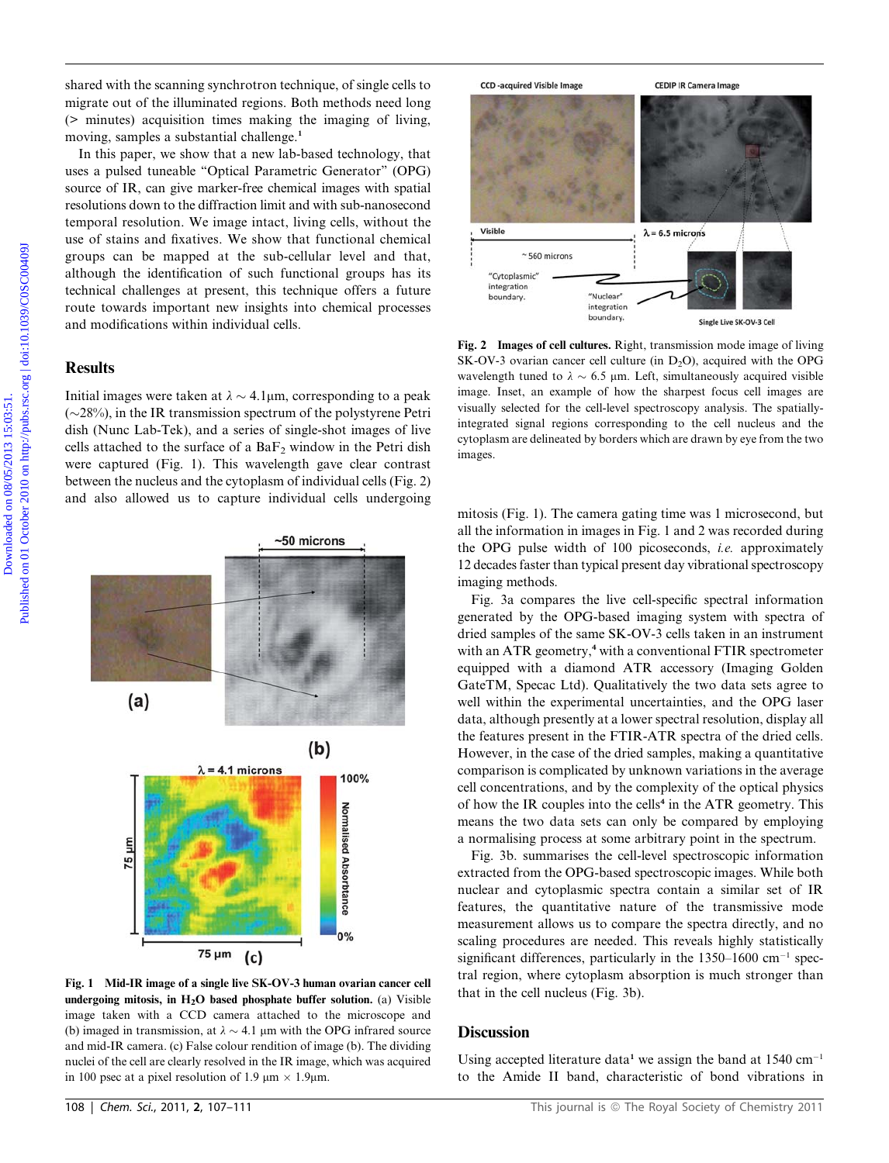shared with the scanning synchrotron technique, of single cells to migrate out of the illuminated regions. Both methods need long (> minutes) acquisition times making the imaging of living, moving, samples a substantial challenge.<sup>1</sup>

In this paper, we show that a new lab-based technology, that uses a pulsed tuneable ''Optical Parametric Generator'' (OPG) source of IR, can give marker-free chemical images with spatial resolutions down to the diffraction limit and with sub-nanosecond temporal resolution. We image intact, living cells, without the use of stains and fixatives. We show that functional chemical groups can be mapped at the sub-cellular level and that, although the identification of such functional groups has its technical challenges at present, this technique offers a future route towards important new insights into chemical processes and modifications within individual cells.

#### **Results**

Initial images were taken at  $\lambda \sim 4.1 \mu m$ , corresponding to a peak  $(\sim 28\%)$ , in the IR transmission spectrum of the polystyrene Petri dish (Nunc Lab-Tek), and a series of single-shot images of live cells attached to the surface of a  $BaF<sub>2</sub>$  window in the Petri dish were captured (Fig. 1). This wavelength gave clear contrast between the nucleus and the cytoplasm of individual cells (Fig. 2) and also allowed us to capture individual cells undergoing



Fig. 1 Mid-IR image of a single live SK-OV-3 human ovarian cancer cell undergoing mitosis, in  $H<sub>2</sub>O$  based phosphate buffer solution. (a) Visible image taken with a CCD camera attached to the microscope and (b) imaged in transmission, at  $\lambda \sim 4.1$  µm with the OPG infrared source and mid-IR camera. (c) False colour rendition of image (b). The dividing nuclei of the cell are clearly resolved in the IR image, which was acquired in 100 psec at a pixel resolution of 1.9  $\mu$ m  $\times$  1.9 $\mu$ m.



Fig. 2 Images of cell cultures. Right, transmission mode image of living  $SK-OV-3$  ovarian cancer cell culture (in  $D<sub>2</sub>O$ ), acquired with the OPG wavelength tuned to  $\lambda \sim 6.5$  µm. Left, simultaneously acquired visible image. Inset, an example of how the sharpest focus cell images are visually selected for the cell-level spectroscopy analysis. The spatiallyintegrated signal regions corresponding to the cell nucleus and the cytoplasm are delineated by borders which are drawn by eye from the two images.

mitosis (Fig. 1). The camera gating time was 1 microsecond, but all the information in images in Fig. 1 and 2 was recorded during the OPG pulse width of 100 picoseconds, i.e. approximately 12 decades faster than typical present day vibrational spectroscopy imaging methods.

Fig. 3a compares the live cell-specific spectral information generated by the OPG-based imaging system with spectra of dried samples of the same SK-OV-3 cells taken in an instrument with an ATR geometry,<sup>4</sup> with a conventional FTIR spectrometer equipped with a diamond ATR accessory (Imaging Golden GateTM, Specac Ltd). Qualitatively the two data sets agree to well within the experimental uncertainties, and the OPG laser data, although presently at a lower spectral resolution, display all the features present in the FTIR-ATR spectra of the dried cells. However, in the case of the dried samples, making a quantitative comparison is complicated by unknown variations in the average cell concentrations, and by the complexity of the optical physics of how the IR couples into the cells<sup>4</sup> in the ATR geometry. This means the two data sets can only be compared by employing a normalising process at some arbitrary point in the spectrum.

Fig. 3b. summarises the cell-level spectroscopic information extracted from the OPG-based spectroscopic images. While both nuclear and cytoplasmic spectra contain a similar set of IR features, the quantitative nature of the transmissive mode measurement allows us to compare the spectra directly, and no scaling procedures are needed. This reveals highly statistically significant differences, particularly in the  $1350-1600$  cm<sup>-1</sup> spectral region, where cytoplasm absorption is much stronger than that in the cell nucleus (Fig. 3b).

#### **Discussion**

Using accepted literature data<sup>1</sup> we assign the band at  $1540 \text{ cm}^{-1}$ to the Amide II band, characteristic of bond vibrations in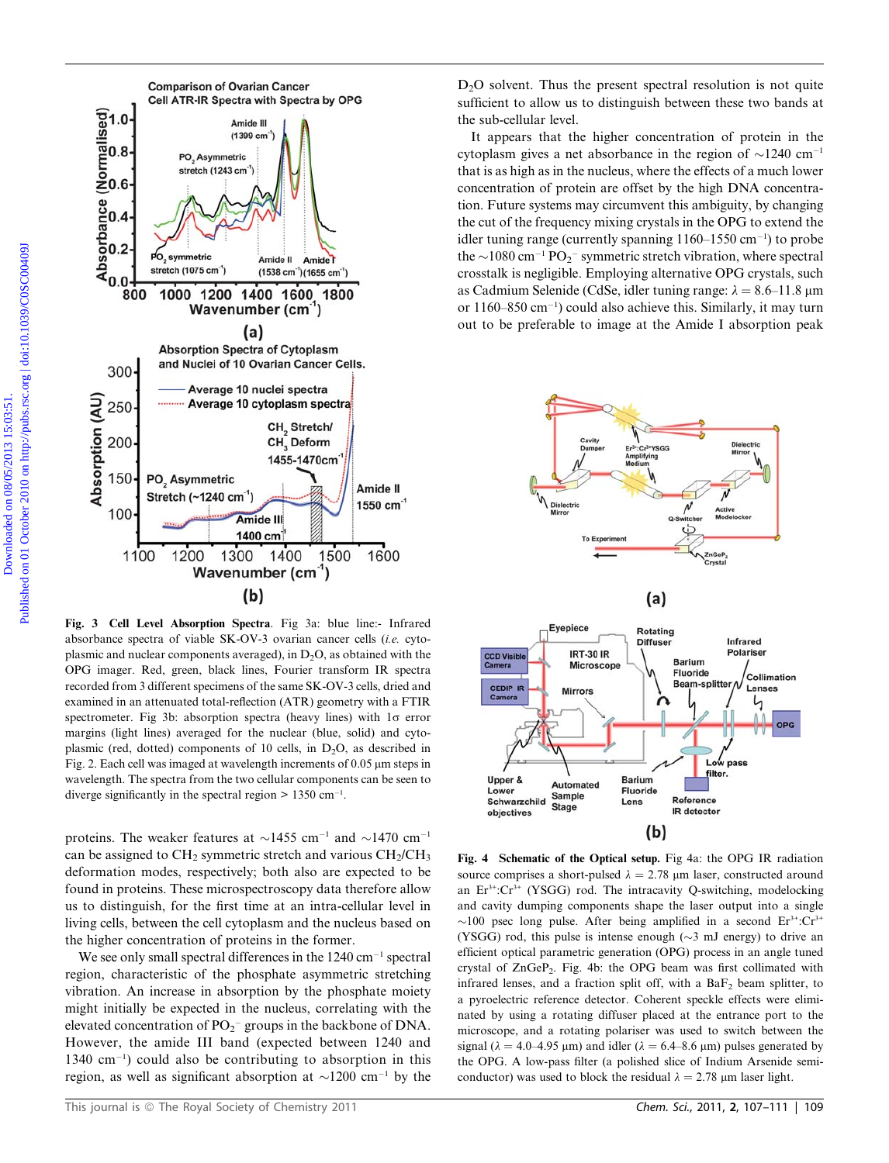

Fig. 3 Cell Level Absorption Spectra. Fig 3a: blue line:- Infrared absorbance spectra of viable SK-OV-3 ovarian cancer cells (i.e. cytoplasmic and nuclear components averaged), in  $D_2O$ , as obtained with the OPG imager. Red, green, black lines, Fourier transform IR spectra recorded from 3 different specimens of the same SK-OV-3 cells, dried and examined in an attenuated total-reflection (ATR) geometry with a FTIR spectrometer. Fig 3b: absorption spectra (heavy lines) with  $1\sigma$  error margins (light lines) averaged for the nuclear (blue, solid) and cytoplasmic (red, dotted) components of 10 cells, in  $D_2O$ , as described in Fig. 2. Each cell was imaged at wavelength increments of  $0.05 \mu m$  steps in wavelength. The spectra from the two cellular components can be seen to diverge significantly in the spectral region  $> 1350$  cm<sup>-1</sup>.

proteins. The weaker features at  $\sim$ 1455 cm<sup>-1</sup> and  $\sim$ 1470 cm<sup>-1</sup> can be assigned to  $CH_2$  symmetric stretch and various  $CH_2/CH_3$ deformation modes, respectively; both also are expected to be found in proteins. These microspectroscopy data therefore allow us to distinguish, for the first time at an intra-cellular level in living cells, between the cell cytoplasm and the nucleus based on the higher concentration of proteins in the former.

We see only small spectral differences in the  $1240 \text{ cm}^{-1}$  spectral region, characteristic of the phosphate asymmetric stretching vibration. An increase in absorption by the phosphate moiety might initially be expected in the nucleus, correlating with the elevated concentration of  $PO_2^-$  groups in the backbone of DNA. However, the amide III band (expected between 1240 and  $1340 \text{ cm}^{-1}$ ) could also be contributing to absorption in this region, as well as significant absorption at  $\sim$ 1200 cm<sup>-1</sup> by the

 $D<sub>2</sub>O$  solvent. Thus the present spectral resolution is not quite sufficient to allow us to distinguish between these two bands at the sub-cellular level.

It appears that the higher concentration of protein in the cytoplasm gives a net absorbance in the region of  $\sim$ 1240 cm<sup>-1</sup> that is as high as in the nucleus, where the effects of a much lower concentration of protein are offset by the high DNA concentration. Future systems may circumvent this ambiguity, by changing the cut of the frequency mixing crystals in the OPG to extend the idler tuning range (currently spanning  $1160-1550$  cm<sup>-1</sup>) to probe the  $\sim$ 1080 cm<sup>-1</sup> PO<sub>2</sub><sup>-</sup> symmetric stretch vibration, where spectral crosstalk is negligible. Employing alternative OPG crystals, such as Cadmium Selenide (CdSe, idler tuning range:  $\lambda = 8.6$ –11.8 µm or 1160–850 cm-1 ) could also achieve this. Similarly, it may turn out to be preferable to image at the Amide I absorption peak



Fig. 4 Schematic of the Optical setup. Fig 4a: the OPG IR radiation source comprises a short-pulsed  $\lambda = 2.78$  µm laser, constructed around an  $Er^{3+}$ : $Cr^{3+}$  (YSGG) rod. The intracavity Q-switching, modelocking and cavity dumping components shape the laser output into a single  $\sim$ 100 psec long pulse. After being amplified in a second Er<sup>3+</sup>:Cr<sup>3+</sup> (YSGG) rod, this pulse is intense enough  $(\sim 3 \text{ mJ}$  energy) to drive an efficient optical parametric generation (OPG) process in an angle tuned crystal of ZnGeP2. Fig. 4b: the OPG beam was first collimated with infrared lenses, and a fraction split off, with a  $BaF<sub>2</sub>$  beam splitter, to a pyroelectric reference detector. Coherent speckle effects were eliminated by using a rotating diffuser placed at the entrance port to the microscope, and a rotating polariser was used to switch between the signal ( $\lambda = 4.0{\text -}4.95 \text{ }\mu\text{m}$ ) and idler ( $\lambda = 6.4{\text -}8.6 \text{ }\mu\text{m}$ ) pulses generated by the OPG. A low-pass filter (a polished slice of Indium Arsenide semiconductor) was used to block the residual  $\lambda = 2.78$  µm laser light.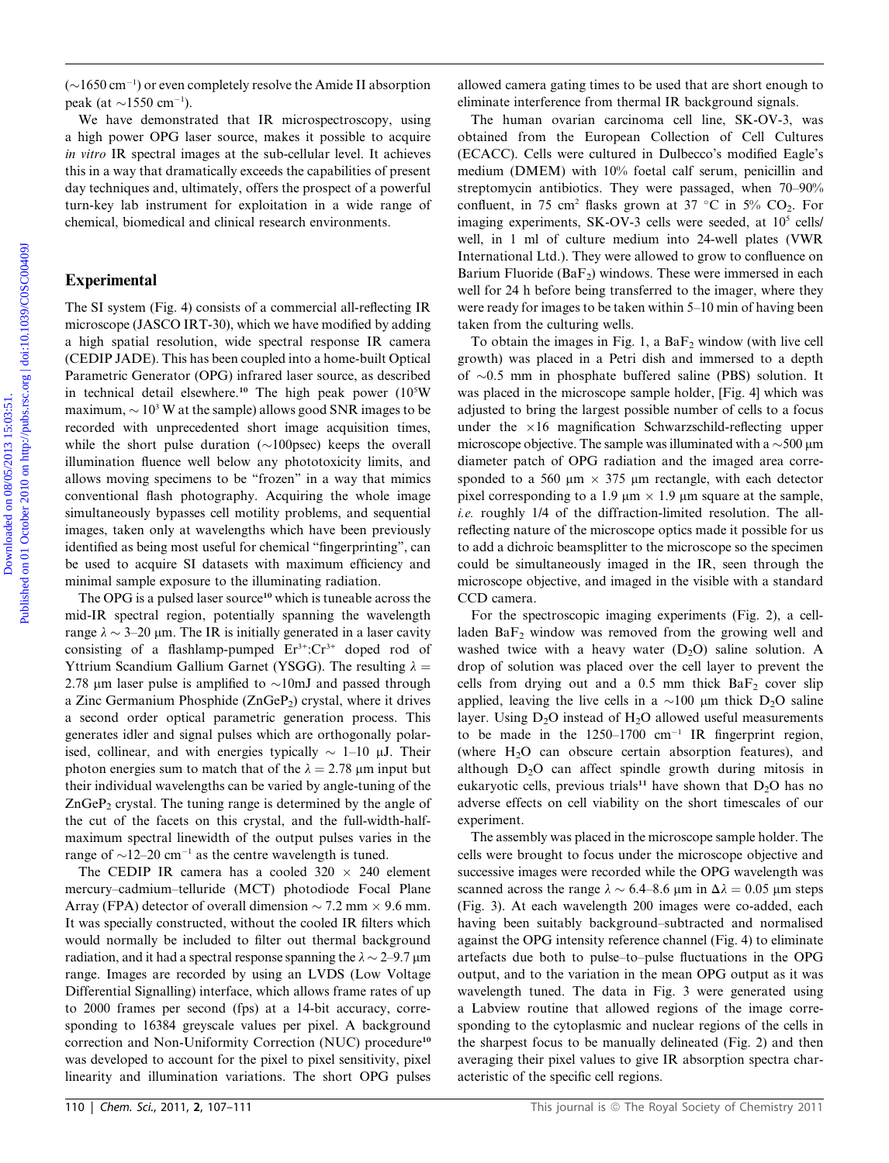$(\sim]1650 \text{ cm}^{-1}$ ) or even completely resolve the Amide II absorption peak (at  $\sim$ 1550 cm<sup>-1</sup>).

We have demonstrated that IR microspectroscopy, using a high power OPG laser source, makes it possible to acquire in vitro IR spectral images at the sub-cellular level. It achieves this in a way that dramatically exceeds the capabilities of present day techniques and, ultimately, offers the prospect of a powerful turn-key lab instrument for exploitation in a wide range of chemical, biomedical and clinical research environments.

#### Experimental

The SI system (Fig. 4) consists of a commercial all-reflecting IR microscope (JASCO IRT-30), which we have modified by adding a high spatial resolution, wide spectral response IR camera (CEDIP JADE). This has been coupled into a home-built Optical Parametric Generator (OPG) infrared laser source, as described in technical detail elsewhere.<sup>10</sup> The high peak power (10<sup>5</sup>W maximum,  $\sim 10^3$  W at the sample) allows good SNR images to be recorded with unprecedented short image acquisition times, while the short pulse duration  $(\sim 100$  psec) keeps the overall illumination fluence well below any phototoxicity limits, and allows moving specimens to be ''frozen'' in a way that mimics conventional flash photography. Acquiring the whole image simultaneously bypasses cell motility problems, and sequential images, taken only at wavelengths which have been previously identified as being most useful for chemical ''fingerprinting'', can be used to acquire SI datasets with maximum efficiency and minimal sample exposure to the illuminating radiation. ( $-1.650$  com <sup>3</sup>) or over compledely readvoid and mind. If absorption allowed camera gating times to be and that are shown as the second of the second on the form of complete and the SUGO-3, was a high more Of the second

The OPG is a pulsed laser source<sup>10</sup> which is tuneable across the mid-IR spectral region, potentially spanning the wavelength range  $\lambda \sim 3-20$  µm. The IR is initially generated in a laser cavity consisting of a flashlamp-pumped  $Er^{3+}$ : $Cr^{3+}$  doped rod of Yttrium Scandium Gallium Garnet (YSGG). The resulting  $\lambda =$ 2.78 µm laser pulse is amplified to  $\sim$ 10mJ and passed through a Zinc Germanium Phosphide  $(ZnGeP<sub>2</sub>)$  crystal, where it drives a second order optical parametric generation process. This generates idler and signal pulses which are orthogonally polarised, collinear, and with energies typically  $\sim 1$ –10  $\mu$ J. Their photon energies sum to match that of the  $\lambda = 2.78$  µm input but their individual wavelengths can be varied by angle-tuning of the  $ZnGeP_2$  crystal. The tuning range is determined by the angle of the cut of the facets on this crystal, and the full-width-halfmaximum spectral linewidth of the output pulses varies in the range of  $\sim$ 12–20 cm<sup>-1</sup> as the centre wavelength is tuned.

The CEDIP IR camera has a cooled  $320 \times 240$  element mercury–cadmium–telluride (MCT) photodiode Focal Plane Array (FPA) detector of overall dimension  $\sim$  7.2 mm  $\times$  9.6 mm. It was specially constructed, without the cooled IR filters which would normally be included to filter out thermal background radiation, and it had a spectral response spanning the  $\lambda \sim 2$ –9.7 µm range. Images are recorded by using an LVDS (Low Voltage Differential Signalling) interface, which allows frame rates of up to 2000 frames per second (fps) at a 14-bit accuracy, corresponding to 16384 greyscale values per pixel. A background correction and Non-Uniformity Correction (NUC) procedure<sup>10</sup> was developed to account for the pixel to pixel sensitivity, pixel linearity and illumination variations. The short OPG pulses

allowed camera gating times to be used that are short enough to eliminate interference from thermal IR background signals.

The human ovarian carcinoma cell line, SK-OV-3, was obtained from the European Collection of Cell Cultures (ECACC). Cells were cultured in Dulbecco's modified Eagle's medium (DMEM) with 10% foetal calf serum, penicillin and streptomycin antibiotics. They were passaged, when 70–90% confluent, in 75 cm<sup>2</sup> flasks grown at 37 °C in 5% CO<sub>2</sub>. For imaging experiments, SK-OV-3 cells were seeded, at 10<sup>5</sup> cells/ well, in 1 ml of culture medium into 24-well plates (VWR International Ltd.). They were allowed to grow to confluence on Barium Fluoride ( $BaF_2$ ) windows. These were immersed in each well for 24 h before being transferred to the imager, where they were ready for images to be taken within 5–10 min of having been taken from the culturing wells.

To obtain the images in Fig. 1, a  $BaF<sub>2</sub>$  window (with live cell growth) was placed in a Petri dish and immersed to a depth of  $\sim 0.5$  mm in phosphate buffered saline (PBS) solution. It was placed in the microscope sample holder, [Fig. 4] which was adjusted to bring the largest possible number of cells to a focus under the  $\times 16$  magnification Schwarzschild-reflecting upper microscope objective. The sample was illuminated with a  $\sim$  500 µm diameter patch of OPG radiation and the imaged area corresponded to a 560  $\mu$ m  $\times$  375  $\mu$ m rectangle, with each detector pixel corresponding to a 1.9  $\mu$ m  $\times$  1.9  $\mu$ m square at the sample, i.e. roughly 1/4 of the diffraction-limited resolution. The allreflecting nature of the microscope optics made it possible for us to add a dichroic beamsplitter to the microscope so the specimen could be simultaneously imaged in the IR, seen through the microscope objective, and imaged in the visible with a standard CCD camera.

For the spectroscopic imaging experiments (Fig. 2), a cellladen  $BaF<sub>2</sub>$  window was removed from the growing well and washed twice with a heavy water  $(D_2O)$  saline solution. A drop of solution was placed over the cell layer to prevent the cells from drying out and a 0.5 mm thick  $BaF_2$  cover slip applied, leaving the live cells in a  $\sim 100$  µm thick D<sub>2</sub>O saline layer. Using  $D_2O$  instead of  $H_2O$  allowed useful measurements to be made in the  $1250-1700$  cm<sup>-1</sup> IR fingerprint region, (where  $H_2O$  can obscure certain absorption features), and although  $D_2O$  can affect spindle growth during mitosis in eukaryotic cells, previous trials<sup>11</sup> have shown that  $D_2O$  has no adverse effects on cell viability on the short timescales of our experiment.

The assembly was placed in the microscope sample holder. The cells were brought to focus under the microscope objective and successive images were recorded while the OPG wavelength was scanned across the range  $\lambda \sim 6.4$ –8.6 µm in  $\Delta \lambda = 0.05$  µm steps (Fig. 3). At each wavelength 200 images were co-added, each having been suitably background–subtracted and normalised against the OPG intensity reference channel (Fig. 4) to eliminate artefacts due both to pulse–to–pulse fluctuations in the OPG output, and to the variation in the mean OPG output as it was wavelength tuned. The data in Fig. 3 were generated using a Labview routine that allowed regions of the image corresponding to the cytoplasmic and nuclear regions of the cells in the sharpest focus to be manually delineated (Fig. 2) and then averaging their pixel values to give IR absorption spectra characteristic of the specific cell regions.